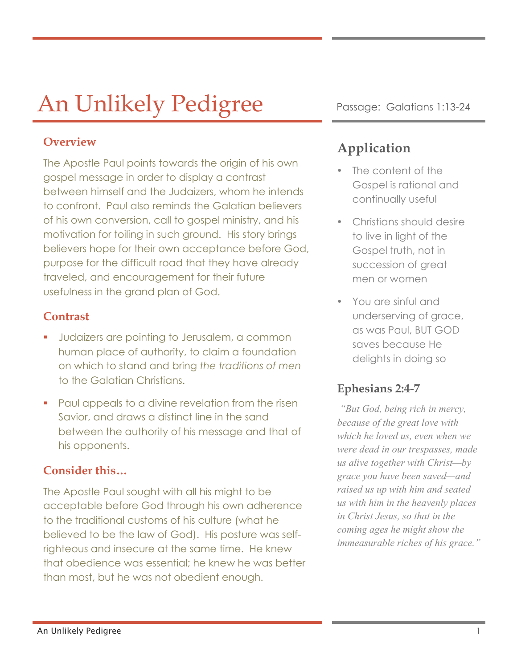# An Unlikely Pedigree Passage: Galatians 1:13-24

### **Overview**

The Apostle Paul points towards the origin of his own gospel message in order to display a contrast between himself and the Judaizers, whom he intends to confront. Paul also reminds the Galatian believers of his own conversion, call to gospel ministry, and his motivation for toiling in such ground. His story brings believers hope for their own acceptance before God, purpose for the difficult road that they have already traveled, and encouragement for their future usefulness in the grand plan of God.

### **Contrast**

- § Judaizers are pointing to Jerusalem, a common human place of authority, to claim a foundation on which to stand and bring *the traditions of men* to the Galatian Christians.
- § Paul appeals to a divine revelation from the risen Savior, and draws a distinct line in the sand between the authority of his message and that of his opponents.

## **Consider this…**

The Apostle Paul sought with all his might to be acceptable before God through his own adherence to the traditional customs of his culture (what he believed to be the law of God). His posture was selfrighteous and insecure at the same time. He knew that obedience was essential; he knew he was better than most, but he was not obedient enough.

## **Application**

- The content of the Gospel is rational and continually useful
- Christians should desire to live in light of the Gospel truth, not in succession of great men or women
- You are sinful and underserving of grace, as was Paul, BUT GOD saves because He delights in doing so

## **Ephesians 2:4-7**

*"But God, being rich in mercy, because of the great love with which he loved us, even when we were dead in our trespasses, made us alive together with Christ—by grace you have been saved—and raised us up with him and seated us with him in the heavenly places in Christ Jesus, so that in the coming ages he might show the immeasurable riches of his grace."*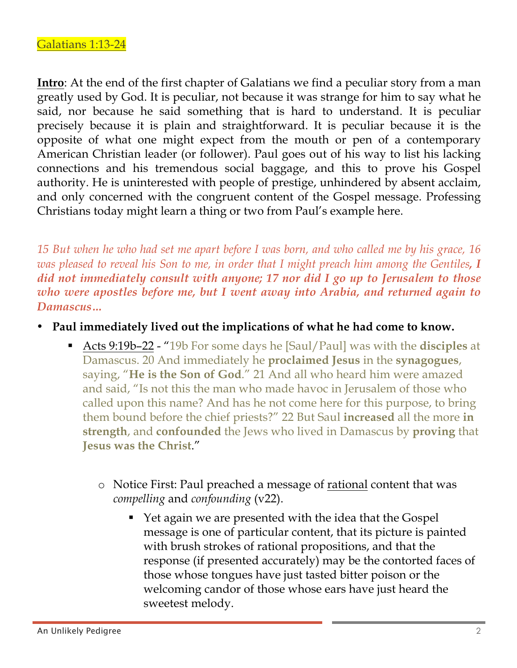**Intro**: At the end of the first chapter of Galatians we find a peculiar story from a man greatly used by God. It is peculiar, not because it was strange for him to say what he said, nor because he said something that is hard to understand. It is peculiar precisely because it is plain and straightforward. It is peculiar because it is the opposite of what one might expect from the mouth or pen of a contemporary American Christian leader (or follower). Paul goes out of his way to list his lacking connections and his tremendous social baggage, and this to prove his Gospel authority. He is uninterested with people of prestige, unhindered by absent acclaim, and only concerned with the congruent content of the Gospel message. Professing Christians today might learn a thing or two from Paul's example here.

*15 But when he who had set me apart before I was born, and who called me by his grace, 16 was pleased to reveal his Son to me, in order that I might preach him among the Gentiles, I did not immediately consult with anyone; 17 nor did I go up to Jerusalem to those who were apostles before me, but I went away into Arabia, and returned again to Damascus…* 

- **Paul immediately lived out the implications of what he had come to know.**
	- Acts 9:19b-22 "19b For some days he [Saul/Paul] was with the **disciples** at Damascus. 20 And immediately he **proclaimed Jesus** in the **synagogues**, saying, "**He is the Son of God**." 21 And all who heard him were amazed and said, "Is not this the man who made havoc in Jerusalem of those who called upon this name? And has he not come here for this purpose, to bring them bound before the chief priests?" 22 But Saul **increased** all the more **in strength**, and **confounded** the Jews who lived in Damascus by **proving** that **Jesus was the Christ**."
		- o Notice First: Paul preached a message of rational content that was *compelling* and *confounding* (v22).
			- Yet again we are presented with the idea that the Gospel message is one of particular content, that its picture is painted with brush strokes of rational propositions, and that the response (if presented accurately) may be the contorted faces of those whose tongues have just tasted bitter poison or the welcoming candor of those whose ears have just heard the sweetest melody.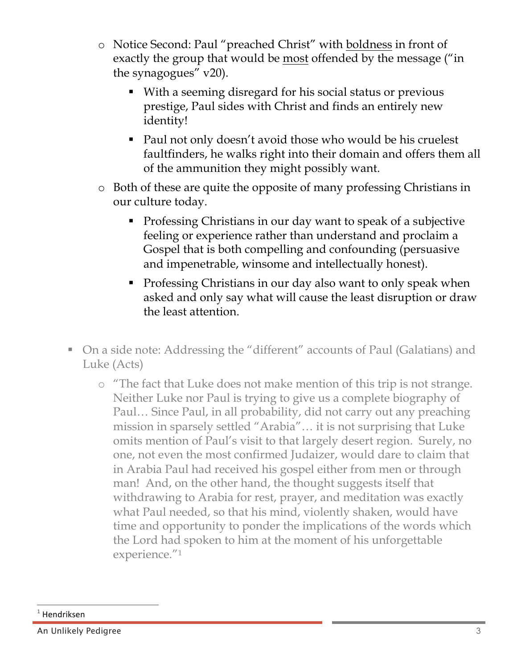- o Notice Second: Paul "preached Christ" with boldness in front of exactly the group that would be most offended by the message ("in the synagogues" v20).
	- With a seeming disregard for his social status or previous prestige, Paul sides with Christ and finds an entirely new identity!
	- Paul not only doesn't avoid those who would be his cruelest faultfinders, he walks right into their domain and offers them all of the ammunition they might possibly want.
- o Both of these are quite the opposite of many professing Christians in our culture today.
	- Professing Christians in our day want to speak of a subjective feeling or experience rather than understand and proclaim a Gospel that is both compelling and confounding (persuasive and impenetrable, winsome and intellectually honest).
	- Professing Christians in our day also want to only speak when asked and only say what will cause the least disruption or draw the least attention.
- On a side note: Addressing the "different" accounts of Paul (Galatians) and Luke (Acts)
	- o "The fact that Luke does not make mention of this trip is not strange. Neither Luke nor Paul is trying to give us a complete biography of Paul… Since Paul, in all probability, did not carry out any preaching mission in sparsely settled "Arabia"… it is not surprising that Luke omits mention of Paul's visit to that largely desert region. Surely, no one, not even the most confirmed Judaizer, would dare to claim that in Arabia Paul had received his gospel either from men or through man! And, on the other hand, the thought suggests itself that withdrawing to Arabia for rest, prayer, and meditation was exactly what Paul needed, so that his mind, violently shaken, would have time and opportunity to ponder the implications of the words which the Lord had spoken to him at the moment of his unforgettable experience."1

 $\overline{a}$ 

**Hendriksen** 

An Unlikely Pedigree 33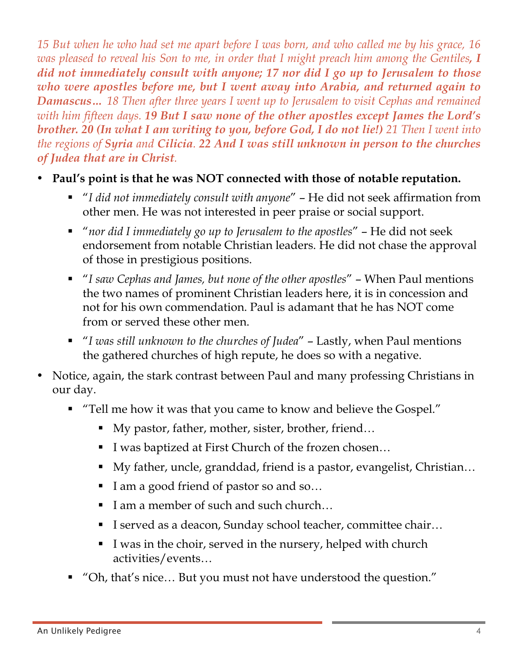*15 But when he who had set me apart before I was born, and who called me by his grace, 16 was pleased to reveal his Son to me, in order that I might preach him among the Gentiles, I did not immediately consult with anyone; 17 nor did I go up to Jerusalem to those who were apostles before me, but I went away into Arabia, and returned again to Damascus… 18 Then after three years I went up to Jerusalem to visit Cephas and remained with him fifteen days. 19 But I saw none of the other apostles except James the Lord's brother. 20 (In what I am writing to you, before God, I do not lie!) 21 Then I went into the regions of Syria and Cilicia. 22 And I was still unknown in person to the churches of Judea that are in Christ.*

- **Paul's point is that he was NOT connected with those of notable reputation.**
	- *"I did not immediately consult with anyone"* He did not seek affirmation from other men. He was not interested in peer praise or social support.
	- § "*nor did I immediately go up to Jerusalem to the apostles*" He did not seek endorsement from notable Christian leaders. He did not chase the approval of those in prestigious positions.
	- § "*I saw Cephas and James, but none of the other apostles*" When Paul mentions the two names of prominent Christian leaders here, it is in concession and not for his own commendation. Paul is adamant that he has NOT come from or served these other men.
	- § "*I was still unknown to the churches of Judea*" Lastly, when Paul mentions the gathered churches of high repute, he does so with a negative.
- Notice, again, the stark contrast between Paul and many professing Christians in our day.
	- "Tell me how it was that you came to know and believe the Gospel."
		- My pastor, father, mother, sister, brother, friend...
		- I was baptized at First Church of the frozen chosen...
		- My father, uncle, granddad, friend is a pastor, evangelist, Christian...
		- I am a good friend of pastor so and so...
		- I am a member of such and such church...
		- I served as a deacon, Sunday school teacher, committee chair...
		- § I was in the choir, served in the nursery, helped with church activities/events…
	- § "Oh, that's nice… But you must not have understood the question."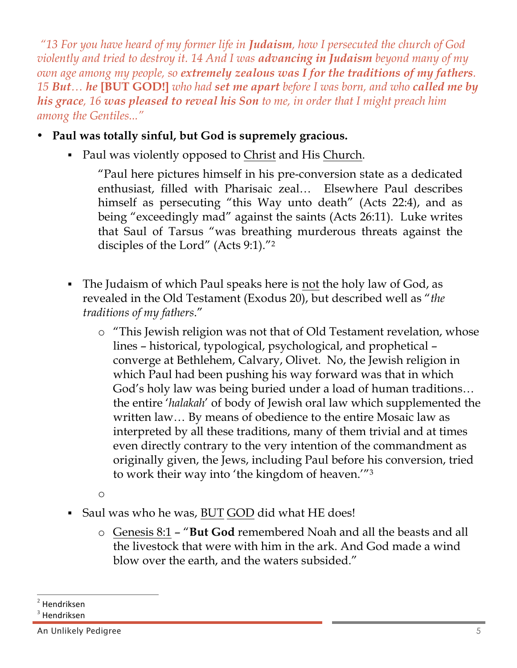*"13 For you have heard of my former life in Judaism, how I persecuted the church of God violently and tried to destroy it. 14 And I was advancing in Judaism beyond many of my own age among my people, so extremely zealous was I for the traditions of my fathers. 15 But… he* **[BUT GOD!]** *who had set me apart before I was born, and who called me by his grace, 16 was pleased to reveal his Son to me, in order that I might preach him among the Gentiles..."*

- **Paul was totally sinful, but God is supremely gracious.**
	- Paul was violently opposed to Christ and His Church.

"Paul here pictures himself in his pre-conversion state as a dedicated enthusiast, filled with Pharisaic zeal… Elsewhere Paul describes himself as persecuting "this Way unto death" (Acts 22:4), and as being "exceedingly mad" against the saints (Acts 26:11). Luke writes that Saul of Tarsus "was breathing murderous threats against the disciples of the Lord" (Acts 9:1)."2

- § The Judaism of which Paul speaks here is not the holy law of God, as revealed in the Old Testament (Exodus 20), but described well as "*the traditions of my fathers*."
	- o "This Jewish religion was not that of Old Testament revelation, whose lines – historical, typological, psychological, and prophetical – converge at Bethlehem, Calvary, Olivet. No, the Jewish religion in which Paul had been pushing his way forward was that in which God's holy law was being buried under a load of human traditions… the entire '*halakah*' of body of Jewish oral law which supplemented the written law… By means of obedience to the entire Mosaic law as interpreted by all these traditions, many of them trivial and at times even directly contrary to the very intention of the commandment as originally given, the Jews, including Paul before his conversion, tried to work their way into 'the kingdom of heaven.'"3
	- o
- Saul was who he was, BUT GOD did what HE does!
	- o Genesis 8:1 "**But God** remembered Noah and all the beasts and all the livestock that were with him in the ark. And God made a wind blow over the earth, and the waters subsided."

<sup>-</sup><sup>2</sup> Hendriksen

 $3$  Hendriksen

An Unlikely Pedigree 5 and 5 and 5 and 5 and 5 and 5 and 5 and 5 and 5 and 5 and 5 and 5 and 5 and 5 and 5 and 5 and 5 and 5 and 5 and 5 and 5 and 5 and 5 and 5 and 5 and 5 and 5 and 5 and 5 and 5 and 5 and 5 and 5 and 5 a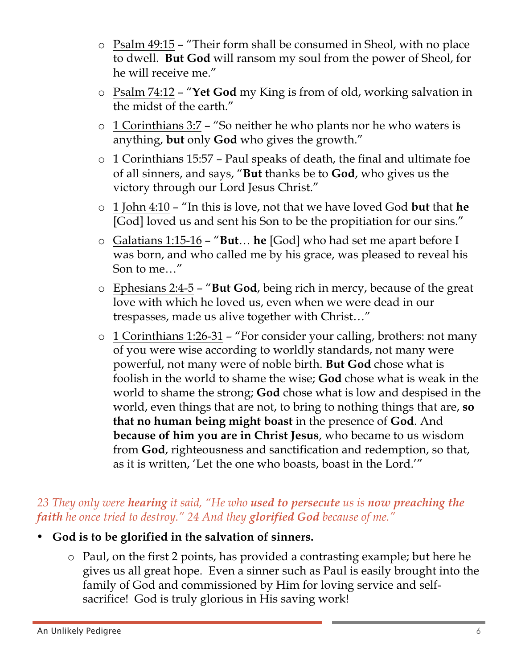- o Psalm 49:15 "Their form shall be consumed in Sheol, with no place to dwell. **But God** will ransom my soul from the power of Sheol, for he will receive me."
- o Psalm 74:12 "**Yet God** my King is from of old, working salvation in the midst of the earth."
- o 1 Corinthians 3:7 "So neither he who plants nor he who waters is anything, **but** only **God** who gives the growth."
- o 1 Corinthians 15:57 Paul speaks of death, the final and ultimate foe of all sinners, and says, "**But** thanks be to **God**, who gives us the victory through our Lord Jesus Christ."
- o 1 John 4:10 "In this is love, not that we have loved God **but** that **he** [God] loved us and sent his Son to be the propitiation for our sins."
- o Galatians 1:15-16 "**But**… **he** [God] who had set me apart before I was born, and who called me by his grace, was pleased to reveal his Son to me…"
- o Ephesians 2:4-5 "**But God**, being rich in mercy, because of the great love with which he loved us, even when we were dead in our trespasses, made us alive together with Christ…"
- o 1 Corinthians 1:26-31 "For consider your calling, brothers: not many of you were wise according to worldly standards, not many were powerful, not many were of noble birth. **But God** chose what is foolish in the world to shame the wise; **God** chose what is weak in the world to shame the strong; **God** chose what is low and despised in the world, even things that are not, to bring to nothing things that are, **so that no human being might boast** in the presence of **God**. And **because of him you are in Christ Jesus**, who became to us wisdom from **God**, righteousness and sanctification and redemption, so that, as it is written, 'Let the one who boasts, boast in the Lord.'"

## *23 They only were hearing it said, "He who used to persecute us is now preaching the faith he once tried to destroy." 24 And they glorified God because of me."*

- **God is to be glorified in the salvation of sinners.**
	- o Paul, on the first 2 points, has provided a contrasting example; but here he gives us all great hope. Even a sinner such as Paul is easily brought into the family of God and commissioned by Him for loving service and selfsacrifice! God is truly glorious in His saving work!